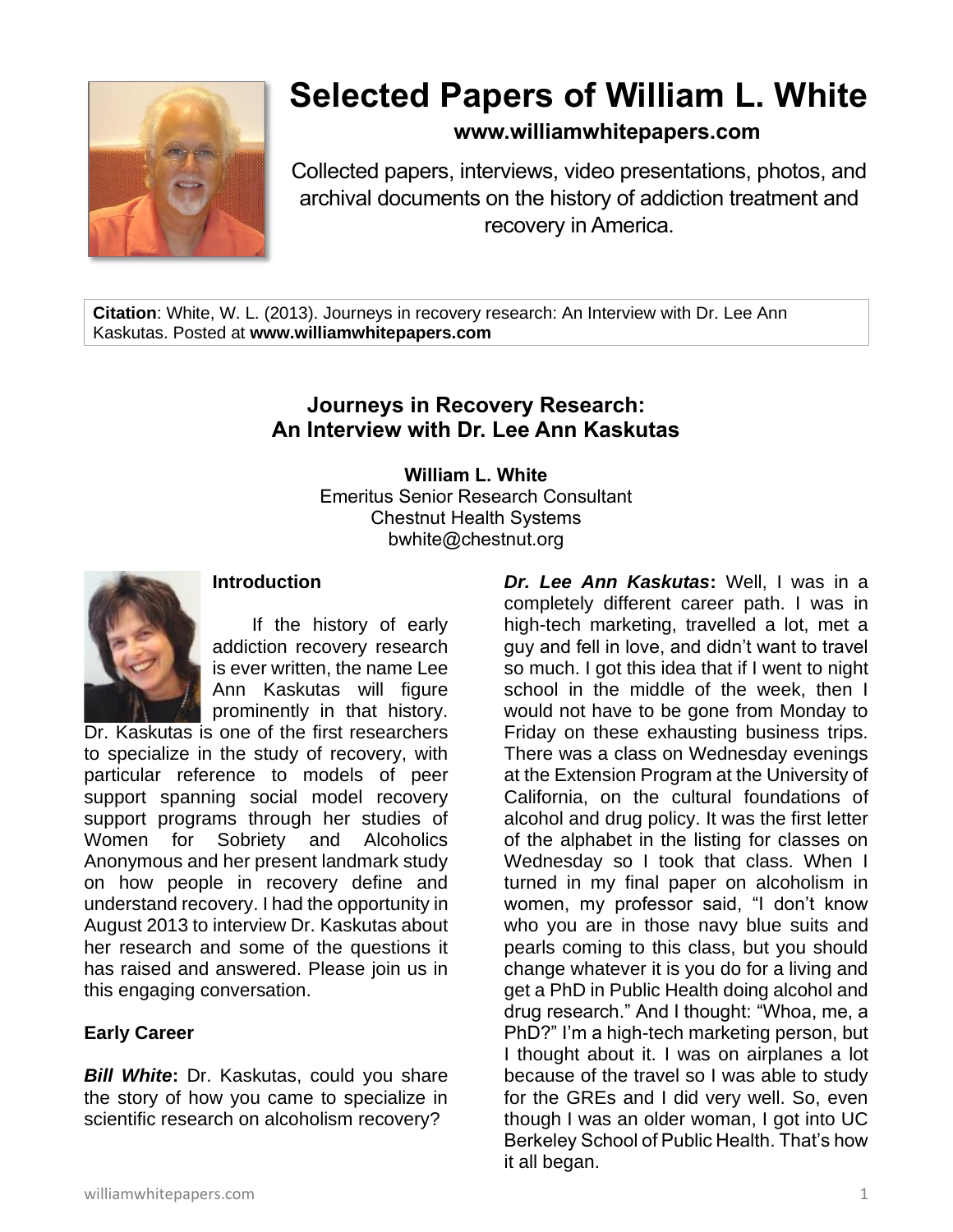

# **Selected Papers of William L. White**

**www.williamwhitepapers.com**

Collected papers, interviews, video presentations, photos, and archival documents on the history of addiction treatment and recovery in America.

**Citation**: White, W. L. (2013). Journeys in recovery research: An Interview with Dr. Lee Ann Kaskutas. Posted at **www.williamwhitepapers.com**

# **Journeys in Recovery Research: An Interview with Dr. Lee Ann Kaskutas**

**William L. White** Emeritus Senior Research Consultant Chestnut Health Systems bwhite@chestnut.org



## **Introduction**

If the history of early addiction recovery research is ever written, the name Lee Ann Kaskutas will figure prominently in that history.

Dr. Kaskutas is one of the first researchers to specialize in the study of recovery, with particular reference to models of peer support spanning social model recovery support programs through her studies of Women for Sobriety and Alcoholics Anonymous and her present landmark study on how people in recovery define and understand recovery. I had the opportunity in August 2013 to interview Dr. Kaskutas about her research and some of the questions it has raised and answered. Please join us in this engaging conversation.

# **Early Career**

*Bill White***:** Dr. Kaskutas, could you share the story of how you came to specialize in scientific research on alcoholism recovery?

*Dr. Lee Ann Kaskutas***:** Well, I was in a completely different career path. I was in high-tech marketing, travelled a lot, met a guy and fell in love, and didn't want to travel so much. I got this idea that if I went to night school in the middle of the week, then I would not have to be gone from Monday to Friday on these exhausting business trips. There was a class on Wednesday evenings at the Extension Program at the University of California, on the cultural foundations of alcohol and drug policy. It was the first letter of the alphabet in the listing for classes on Wednesday so I took that class. When I turned in my final paper on alcoholism in women, my professor said, "I don't know who you are in those navy blue suits and pearls coming to this class, but you should change whatever it is you do for a living and get a PhD in Public Health doing alcohol and drug research." And I thought: "Whoa, me, a PhD?" I'm a high-tech marketing person, but I thought about it. I was on airplanes a lot because of the travel so I was able to study for the GREs and I did very well. So, even though I was an older woman, I got into UC Berkeley School of Public Health. That's how it all began.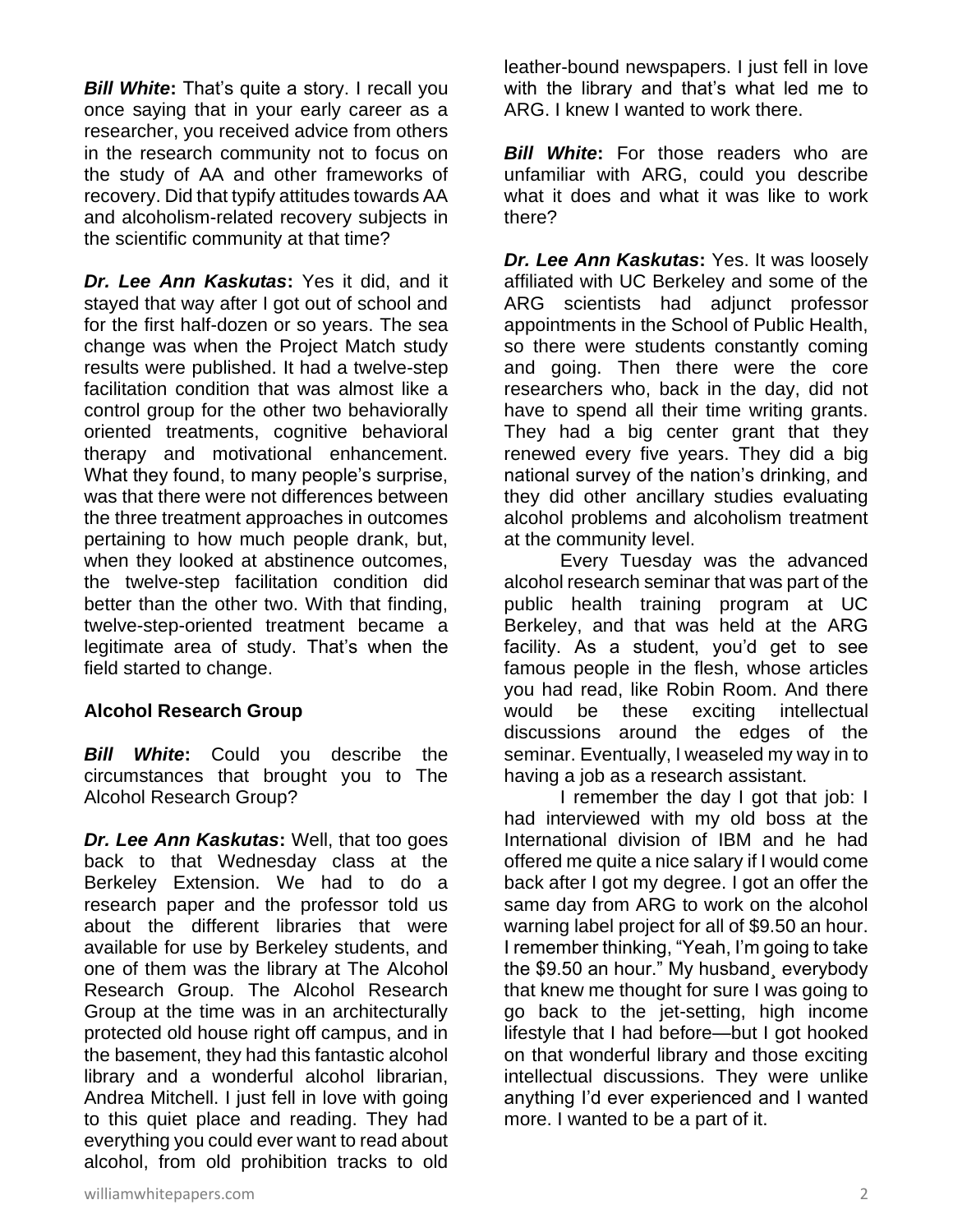*Bill White***:** That's quite a story. I recall you once saying that in your early career as a researcher, you received advice from others in the research community not to focus on the study of AA and other frameworks of recovery. Did that typify attitudes towards AA and alcoholism-related recovery subjects in the scientific community at that time?

*Dr. Lee Ann Kaskutas***:** Yes it did, and it stayed that way after I got out of school and for the first half-dozen or so years. The sea change was when the Project Match study results were published. It had a twelve-step facilitation condition that was almost like a control group for the other two behaviorally oriented treatments, cognitive behavioral therapy and motivational enhancement. What they found, to many people's surprise, was that there were not differences between the three treatment approaches in outcomes pertaining to how much people drank, but, when they looked at abstinence outcomes, the twelve-step facilitation condition did better than the other two. With that finding, twelve-step-oriented treatment became a legitimate area of study. That's when the field started to change.

## **Alcohol Research Group**

*Bill White***:** Could you describe the circumstances that brought you to The Alcohol Research Group?

*Dr. Lee Ann Kaskutas***:** Well, that too goes back to that Wednesday class at the Berkeley Extension. We had to do a research paper and the professor told us about the different libraries that were available for use by Berkeley students, and one of them was the library at The Alcohol Research Group. The Alcohol Research Group at the time was in an architecturally protected old house right off campus, and in the basement, they had this fantastic alcohol library and a wonderful alcohol librarian, Andrea Mitchell. I just fell in love with going to this quiet place and reading. They had everything you could ever want to read about alcohol, from old prohibition tracks to old

leather-bound newspapers. I just fell in love with the library and that's what led me to ARG. I knew I wanted to work there.

*Bill White*: For those readers who are unfamiliar with ARG, could you describe what it does and what it was like to work there?

*Dr. Lee Ann Kaskutas***:** Yes. It was loosely affiliated with UC Berkeley and some of the ARG scientists had adjunct professor appointments in the School of Public Health, so there were students constantly coming and going. Then there were the core researchers who, back in the day, did not have to spend all their time writing grants. They had a big center grant that they renewed every five years. They did a big national survey of the nation's drinking, and they did other ancillary studies evaluating alcohol problems and alcoholism treatment at the community level.

Every Tuesday was the advanced alcohol research seminar that was part of the public health training program at UC Berkeley, and that was held at the ARG facility. As a student, you'd get to see famous people in the flesh, whose articles you had read, like Robin Room. And there would be these exciting intellectual discussions around the edges of the seminar. Eventually, I weaseled my way in to having a job as a research assistant.

I remember the day I got that job: I had interviewed with my old boss at the International division of IBM and he had offered me quite a nice salary if I would come back after I got my degree. I got an offer the same day from ARG to work on the alcohol warning label project for all of \$9.50 an hour. I remember thinking, "Yeah, I'm going to take the \$9.50 an hour." My husband¸ everybody that knew me thought for sure I was going to go back to the jet-setting, high income lifestyle that I had before—but I got hooked on that wonderful library and those exciting intellectual discussions. They were unlike anything I'd ever experienced and I wanted more. I wanted to be a part of it.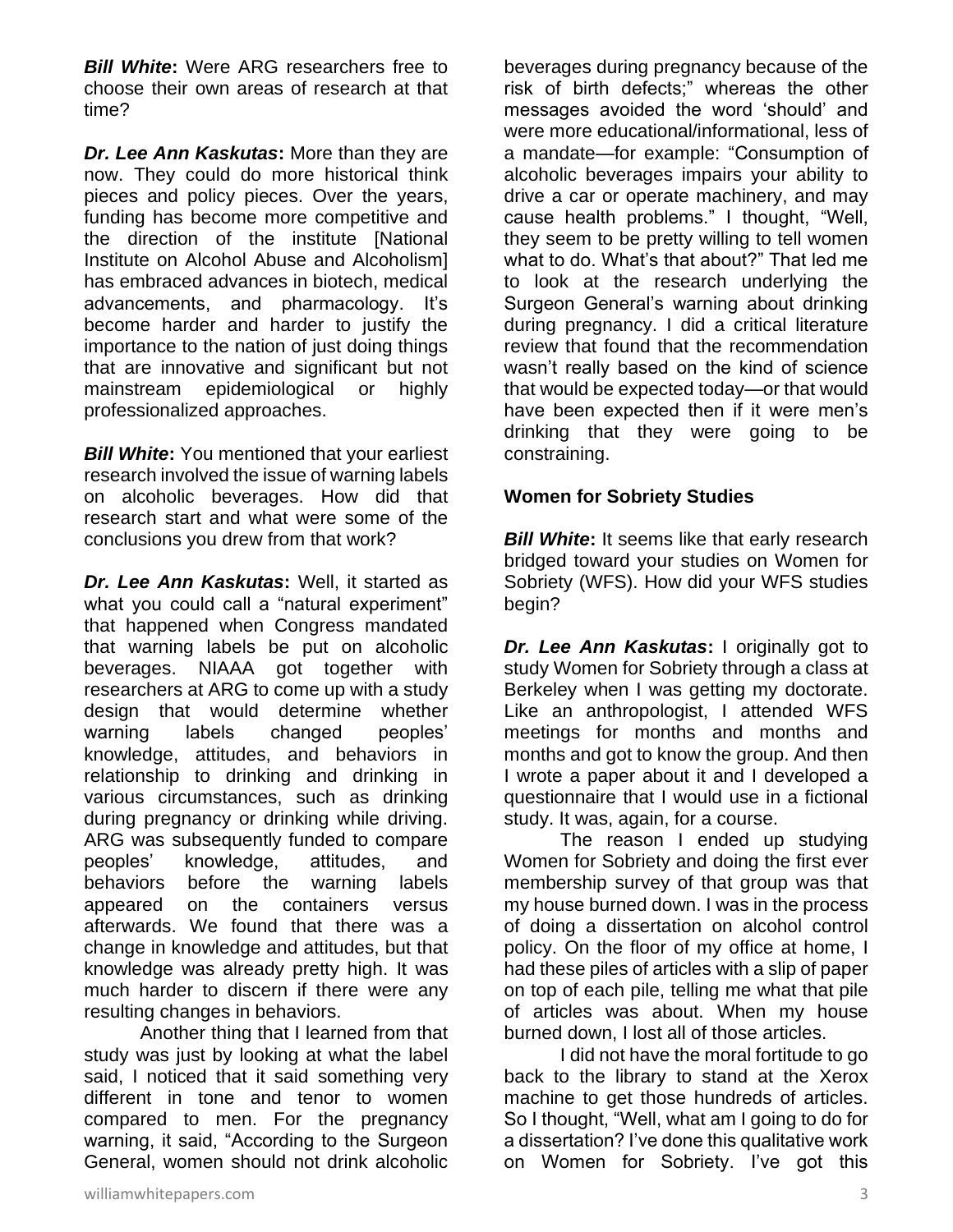*Bill White***:** Were ARG researchers free to choose their own areas of research at that time?

*Dr. Lee Ann Kaskutas***:** More than they are now. They could do more historical think pieces and policy pieces. Over the years, funding has become more competitive and the direction of the institute [National Institute on Alcohol Abuse and Alcoholism] has embraced advances in biotech, medical advancements, and pharmacology. It's become harder and harder to justify the importance to the nation of just doing things that are innovative and significant but not mainstream epidemiological or highly professionalized approaches.

*Bill White***:** You mentioned that your earliest research involved the issue of warning labels on alcoholic beverages. How did that research start and what were some of the conclusions you drew from that work?

*Dr. Lee Ann Kaskutas***:** Well, it started as what you could call a "natural experiment" that happened when Congress mandated that warning labels be put on alcoholic beverages. NIAAA got together with researchers at ARG to come up with a study design that would determine whether warning labels changed peoples' knowledge, attitudes, and behaviors in relationship to drinking and drinking in various circumstances, such as drinking during pregnancy or drinking while driving. ARG was subsequently funded to compare peoples' knowledge, attitudes, and behaviors before the warning labels appeared on the containers versus afterwards. We found that there was a change in knowledge and attitudes, but that knowledge was already pretty high. It was much harder to discern if there were any resulting changes in behaviors.

Another thing that I learned from that study was just by looking at what the label said, I noticed that it said something very different in tone and tenor to women compared to men. For the pregnancy warning, it said, "According to the Surgeon General, women should not drink alcoholic

beverages during pregnancy because of the risk of birth defects;" whereas the other messages avoided the word 'should' and were more educational/informational, less of a mandate—for example: "Consumption of alcoholic beverages impairs your ability to drive a car or operate machinery, and may cause health problems." I thought, "Well, they seem to be pretty willing to tell women what to do. What's that about?" That led me to look at the research underlying the Surgeon General's warning about drinking during pregnancy. I did a critical literature review that found that the recommendation wasn't really based on the kind of science that would be expected today—or that would have been expected then if it were men's drinking that they were going to be constraining.

## **Women for Sobriety Studies**

**Bill White:** It seems like that early research bridged toward your studies on Women for Sobriety (WFS). How did your WFS studies begin?

*Dr. Lee Ann Kaskutas***:** I originally got to study Women for Sobriety through a class at Berkeley when I was getting my doctorate. Like an anthropologist, I attended WFS meetings for months and months and months and got to know the group. And then I wrote a paper about it and I developed a questionnaire that I would use in a fictional study. It was, again, for a course.

The reason I ended up studying Women for Sobriety and doing the first ever membership survey of that group was that my house burned down. I was in the process of doing a dissertation on alcohol control policy. On the floor of my office at home, I had these piles of articles with a slip of paper on top of each pile, telling me what that pile of articles was about. When my house burned down, I lost all of those articles.

I did not have the moral fortitude to go back to the library to stand at the Xerox machine to get those hundreds of articles. So I thought, "Well, what am I going to do for a dissertation? I've done this qualitative work on Women for Sobriety. I've got this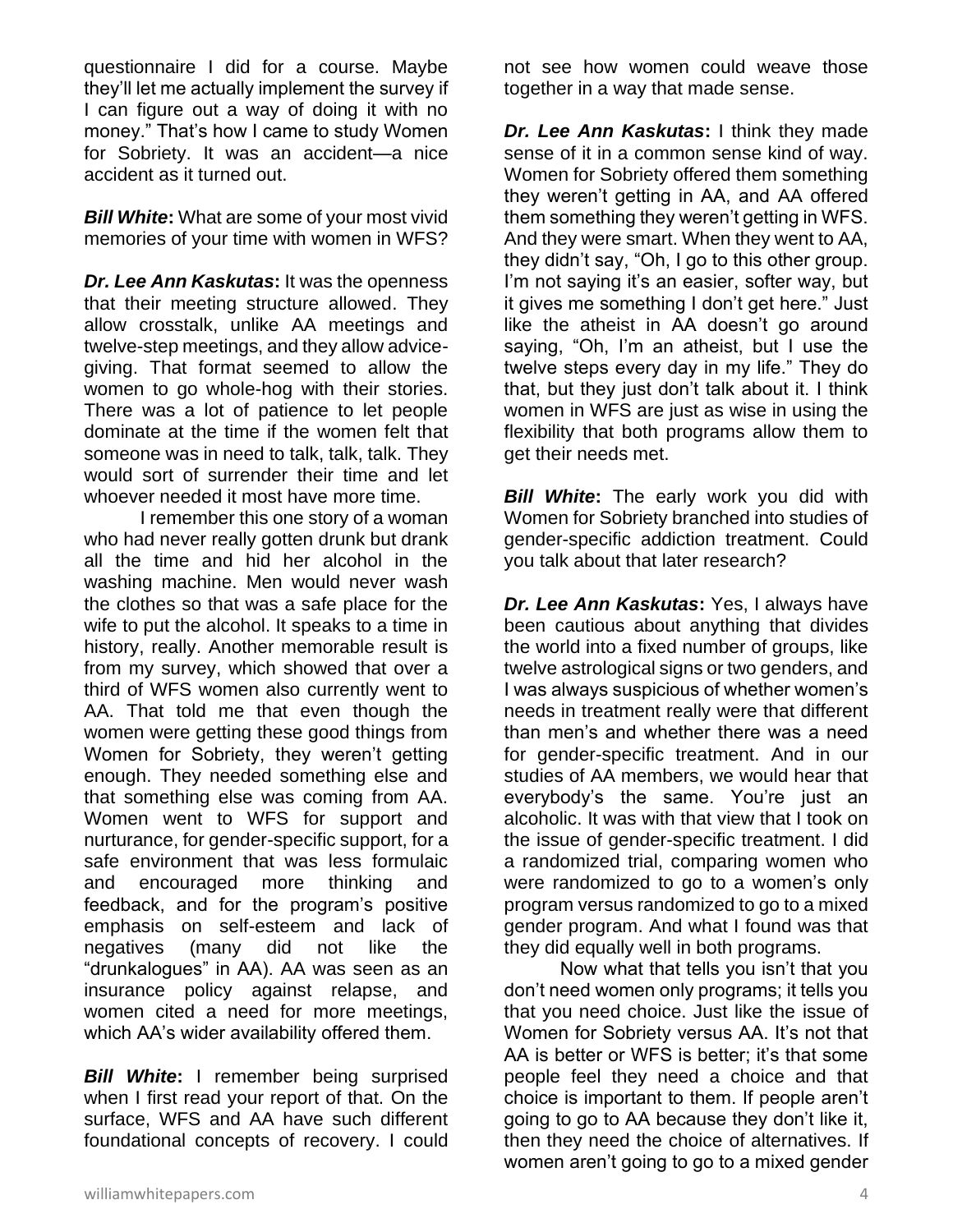questionnaire I did for a course. Maybe they'll let me actually implement the survey if I can figure out a way of doing it with no money." That's how I came to study Women for Sobriety. It was an accident—a nice accident as it turned out.

*Bill White***:** What are some of your most vivid memories of your time with women in WFS?

*Dr. Lee Ann Kaskutas***:** It was the openness that their meeting structure allowed. They allow crosstalk, unlike AA meetings and twelve-step meetings, and they allow advicegiving. That format seemed to allow the women to go whole-hog with their stories. There was a lot of patience to let people dominate at the time if the women felt that someone was in need to talk, talk, talk. They would sort of surrender their time and let whoever needed it most have more time.

I remember this one story of a woman who had never really gotten drunk but drank all the time and hid her alcohol in the washing machine. Men would never wash the clothes so that was a safe place for the wife to put the alcohol. It speaks to a time in history, really. Another memorable result is from my survey, which showed that over a third of WFS women also currently went to AA. That told me that even though the women were getting these good things from Women for Sobriety, they weren't getting enough. They needed something else and that something else was coming from AA. Women went to WFS for support and nurturance, for gender-specific support, for a safe environment that was less formulaic and encouraged more thinking and feedback, and for the program's positive emphasis on self-esteem and lack of negatives (many did not like the "drunkalogues" in AA). AA was seen as an insurance policy against relapse, and women cited a need for more meetings, which AA's wider availability offered them.

*Bill White***:** I remember being surprised when I first read your report of that. On the surface, WFS and AA have such different foundational concepts of recovery. I could

not see how women could weave those together in a way that made sense.

*Dr. Lee Ann Kaskutas***:** I think they made sense of it in a common sense kind of way. Women for Sobriety offered them something they weren't getting in AA, and AA offered them something they weren't getting in WFS. And they were smart. When they went to AA, they didn't say, "Oh, I go to this other group. I'm not saying it's an easier, softer way, but it gives me something I don't get here." Just like the atheist in AA doesn't go around saying, "Oh, I'm an atheist, but I use the twelve steps every day in my life." They do that, but they just don't talk about it. I think women in WFS are just as wise in using the flexibility that both programs allow them to get their needs met.

*Bill White*: The early work you did with Women for Sobriety branched into studies of gender-specific addiction treatment. Could you talk about that later research?

*Dr. Lee Ann Kaskutas***:** Yes, I always have been cautious about anything that divides the world into a fixed number of groups, like twelve astrological signs or two genders, and I was always suspicious of whether women's needs in treatment really were that different than men's and whether there was a need for gender-specific treatment. And in our studies of AA members, we would hear that everybody's the same. You're just an alcoholic. It was with that view that I took on the issue of gender-specific treatment. I did a randomized trial, comparing women who were randomized to go to a women's only program versus randomized to go to a mixed gender program. And what I found was that they did equally well in both programs.

Now what that tells you isn't that you don't need women only programs; it tells you that you need choice. Just like the issue of Women for Sobriety versus AA. It's not that AA is better or WFS is better; it's that some people feel they need a choice and that choice is important to them. If people aren't going to go to AA because they don't like it, then they need the choice of alternatives. If women aren't going to go to a mixed gender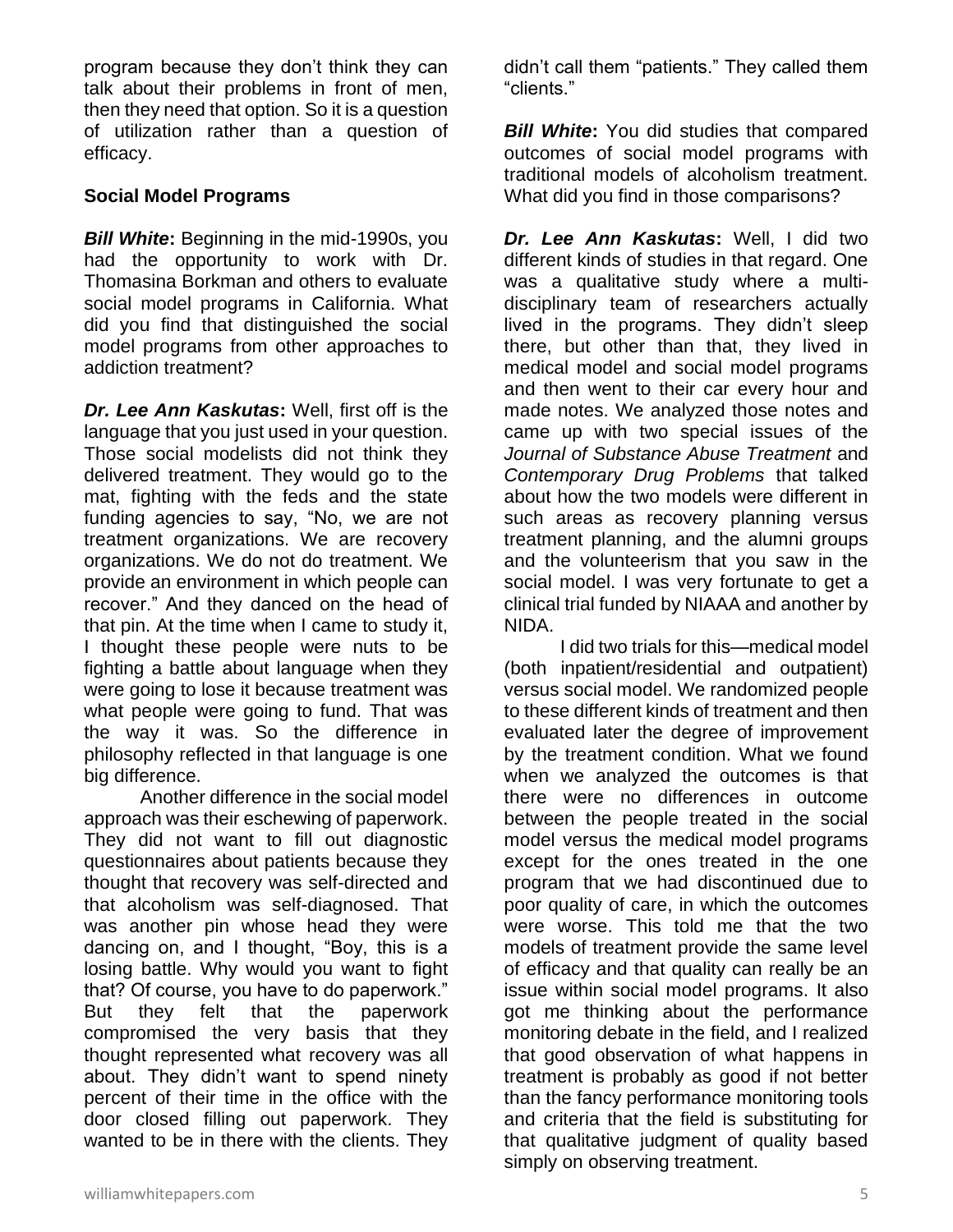program because they don't think they can talk about their problems in front of men, then they need that option. So it is a question of utilization rather than a question of efficacy.

#### **Social Model Programs**

*Bill White***:** Beginning in the mid-1990s, you had the opportunity to work with Dr. Thomasina Borkman and others to evaluate social model programs in California. What did you find that distinguished the social model programs from other approaches to addiction treatment?

*Dr. Lee Ann Kaskutas***:** Well, first off is the language that you just used in your question. Those social modelists did not think they delivered treatment. They would go to the mat, fighting with the feds and the state funding agencies to say, "No, we are not treatment organizations. We are recovery organizations. We do not do treatment. We provide an environment in which people can recover." And they danced on the head of that pin. At the time when I came to study it, I thought these people were nuts to be fighting a battle about language when they were going to lose it because treatment was what people were going to fund. That was the way it was. So the difference in philosophy reflected in that language is one big difference.

Another difference in the social model approach was their eschewing of paperwork. They did not want to fill out diagnostic questionnaires about patients because they thought that recovery was self-directed and that alcoholism was self-diagnosed. That was another pin whose head they were dancing on, and I thought, "Boy, this is a losing battle. Why would you want to fight that? Of course, you have to do paperwork." But they felt that the paperwork compromised the very basis that they thought represented what recovery was all about. They didn't want to spend ninety percent of their time in the office with the door closed filling out paperwork. They wanted to be in there with the clients. They

didn't call them "patients." They called them "clients."

**Bill White:** You did studies that compared outcomes of social model programs with traditional models of alcoholism treatment. What did you find in those comparisons?

*Dr. Lee Ann Kaskutas***:** Well, I did two different kinds of studies in that regard. One was a qualitative study where a multidisciplinary team of researchers actually lived in the programs. They didn't sleep there, but other than that, they lived in medical model and social model programs and then went to their car every hour and made notes. We analyzed those notes and came up with two special issues of the *Journal of Substance Abuse Treatment* and *Contemporary Drug Problems* that talked about how the two models were different in such areas as recovery planning versus treatment planning, and the alumni groups and the volunteerism that you saw in the social model. I was very fortunate to get a clinical trial funded by NIAAA and another by NIDA.

I did two trials for this—medical model (both inpatient/residential and outpatient) versus social model. We randomized people to these different kinds of treatment and then evaluated later the degree of improvement by the treatment condition. What we found when we analyzed the outcomes is that there were no differences in outcome between the people treated in the social model versus the medical model programs except for the ones treated in the one program that we had discontinued due to poor quality of care, in which the outcomes were worse. This told me that the two models of treatment provide the same level of efficacy and that quality can really be an issue within social model programs. It also got me thinking about the performance monitoring debate in the field, and I realized that good observation of what happens in treatment is probably as good if not better than the fancy performance monitoring tools and criteria that the field is substituting for that qualitative judgment of quality based simply on observing treatment.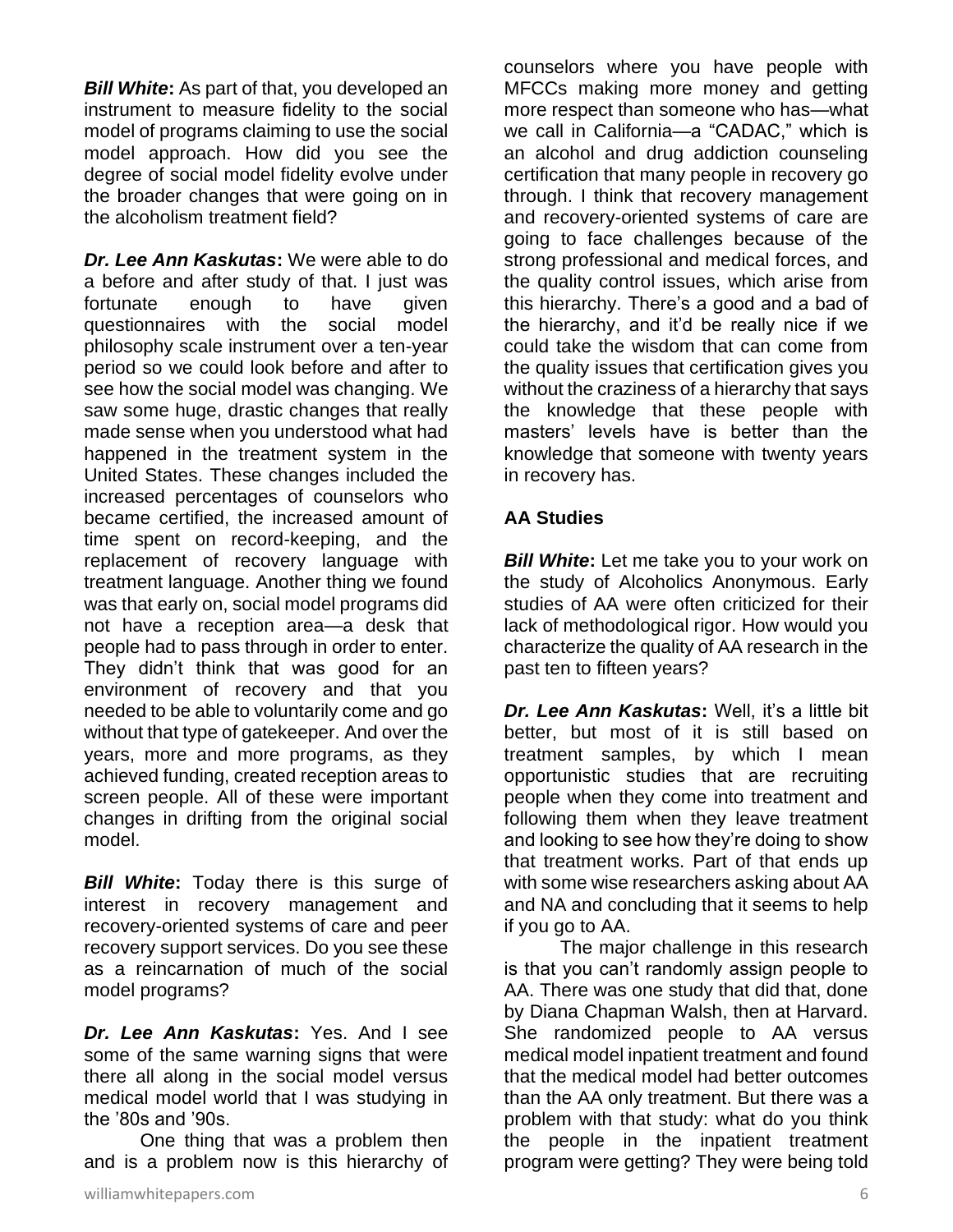*Bill White***:** As part of that, you developed an instrument to measure fidelity to the social model of programs claiming to use the social model approach. How did you see the degree of social model fidelity evolve under the broader changes that were going on in the alcoholism treatment field?

*Dr. Lee Ann Kaskutas***:** We were able to do a before and after study of that. I just was fortunate enough to have given questionnaires with the social model philosophy scale instrument over a ten-year period so we could look before and after to see how the social model was changing. We saw some huge, drastic changes that really made sense when you understood what had happened in the treatment system in the United States. These changes included the increased percentages of counselors who became certified, the increased amount of time spent on record-keeping, and the replacement of recovery language with treatment language. Another thing we found was that early on, social model programs did not have a reception area—a desk that people had to pass through in order to enter. They didn't think that was good for an environment of recovery and that you needed to be able to voluntarily come and go without that type of gatekeeper. And over the years, more and more programs, as they achieved funding, created reception areas to screen people. All of these were important changes in drifting from the original social model.

*Bill White***:** Today there is this surge of interest in recovery management and recovery-oriented systems of care and peer recovery support services. Do you see these as a reincarnation of much of the social model programs?

*Dr. Lee Ann Kaskutas***:** Yes. And I see some of the same warning signs that were there all along in the social model versus medical model world that I was studying in the '80s and '90s.

One thing that was a problem then and is a problem now is this hierarchy of

counselors where you have people with MFCCs making more money and getting more respect than someone who has—what we call in California—a "CADAC," which is an alcohol and drug addiction counseling certification that many people in recovery go through. I think that recovery management and recovery-oriented systems of care are going to face challenges because of the strong professional and medical forces, and the quality control issues, which arise from this hierarchy. There's a good and a bad of the hierarchy, and it'd be really nice if we could take the wisdom that can come from the quality issues that certification gives you without the craziness of a hierarchy that says the knowledge that these people with masters' levels have is better than the knowledge that someone with twenty years in recovery has.

## **AA Studies**

*Bill White*: Let me take you to your work on the study of Alcoholics Anonymous. Early studies of AA were often criticized for their lack of methodological rigor. How would you characterize the quality of AA research in the past ten to fifteen years?

*Dr. Lee Ann Kaskutas***:** Well, it's a little bit better, but most of it is still based on treatment samples, by which I mean opportunistic studies that are recruiting people when they come into treatment and following them when they leave treatment and looking to see how they're doing to show that treatment works. Part of that ends up with some wise researchers asking about AA and NA and concluding that it seems to help if you go to AA.

The major challenge in this research is that you can't randomly assign people to AA. There was one study that did that, done by Diana Chapman Walsh, then at Harvard. She randomized people to AA versus medical model inpatient treatment and found that the medical model had better outcomes than the AA only treatment. But there was a problem with that study: what do you think the people in the inpatient treatment program were getting? They were being told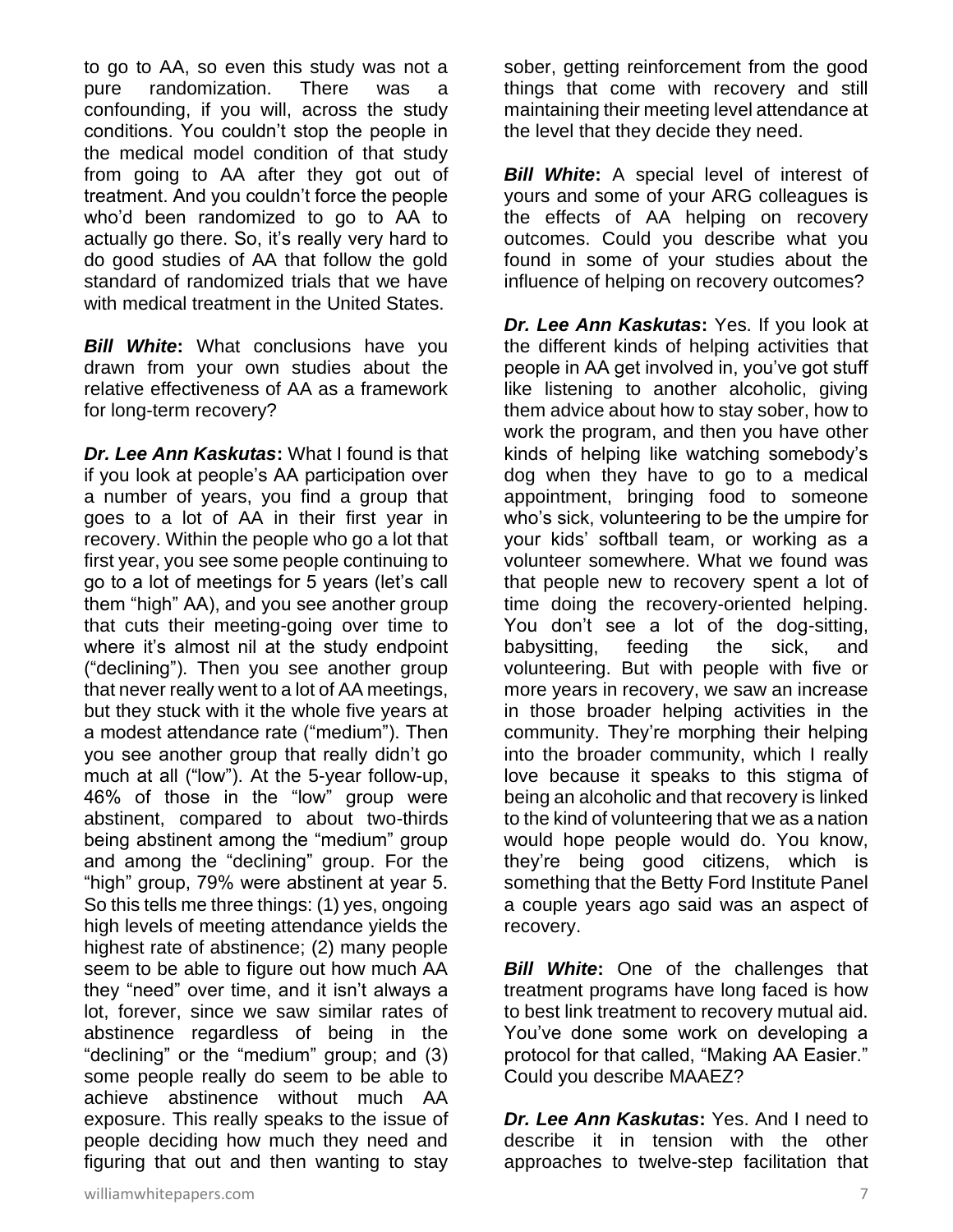to go to AA, so even this study was not a pure randomization. There was a confounding, if you will, across the study conditions. You couldn't stop the people in the medical model condition of that study from going to AA after they got out of treatment. And you couldn't force the people who'd been randomized to go to AA to actually go there. So, it's really very hard to do good studies of AA that follow the gold standard of randomized trials that we have with medical treatment in the United States.

*Bill White*: What conclusions have you drawn from your own studies about the relative effectiveness of AA as a framework for long-term recovery?

*Dr. Lee Ann Kaskutas***:** What I found is that if you look at people's AA participation over a number of years, you find a group that goes to a lot of AA in their first year in recovery. Within the people who go a lot that first year, you see some people continuing to go to a lot of meetings for 5 years (let's call them "high" AA), and you see another group that cuts their meeting-going over time to where it's almost nil at the study endpoint ("declining"). Then you see another group that never really went to a lot of AA meetings, but they stuck with it the whole five years at a modest attendance rate ("medium"). Then you see another group that really didn't go much at all ("low"). At the 5-year follow-up, 46% of those in the "low" group were abstinent, compared to about two-thirds being abstinent among the "medium" group and among the "declining" group. For the "high" group, 79% were abstinent at year 5. So this tells me three things: (1) yes, ongoing high levels of meeting attendance yields the highest rate of abstinence; (2) many people seem to be able to figure out how much AA they "need" over time, and it isn't always a lot, forever, since we saw similar rates of abstinence regardless of being in the "declining" or the "medium" group; and (3) some people really do seem to be able to achieve abstinence without much AA exposure. This really speaks to the issue of people deciding how much they need and figuring that out and then wanting to stay sober, getting reinforcement from the good things that come with recovery and still maintaining their meeting level attendance at the level that they decide they need.

**Bill White:** A special level of interest of yours and some of your ARG colleagues is the effects of AA helping on recovery outcomes. Could you describe what you found in some of your studies about the influence of helping on recovery outcomes?

*Dr. Lee Ann Kaskutas***:** Yes. If you look at the different kinds of helping activities that people in AA get involved in, you've got stuff like listening to another alcoholic, giving them advice about how to stay sober, how to work the program, and then you have other kinds of helping like watching somebody's dog when they have to go to a medical appointment, bringing food to someone who's sick, volunteering to be the umpire for your kids' softball team, or working as a volunteer somewhere. What we found was that people new to recovery spent a lot of time doing the recovery-oriented helping. You don't see a lot of the dog-sitting, babysitting, feeding the sick, and volunteering. But with people with five or more years in recovery, we saw an increase in those broader helping activities in the community. They're morphing their helping into the broader community, which I really love because it speaks to this stigma of being an alcoholic and that recovery is linked to the kind of volunteering that we as a nation would hope people would do. You know, they're being good citizens, which is something that the Betty Ford Institute Panel a couple years ago said was an aspect of recovery.

*Bill White:* One of the challenges that treatment programs have long faced is how to best link treatment to recovery mutual aid. You've done some work on developing a protocol for that called, "Making AA Easier." Could you describe MAAEZ?

*Dr. Lee Ann Kaskutas***:** Yes. And I need to describe it in tension with the other approaches to twelve-step facilitation that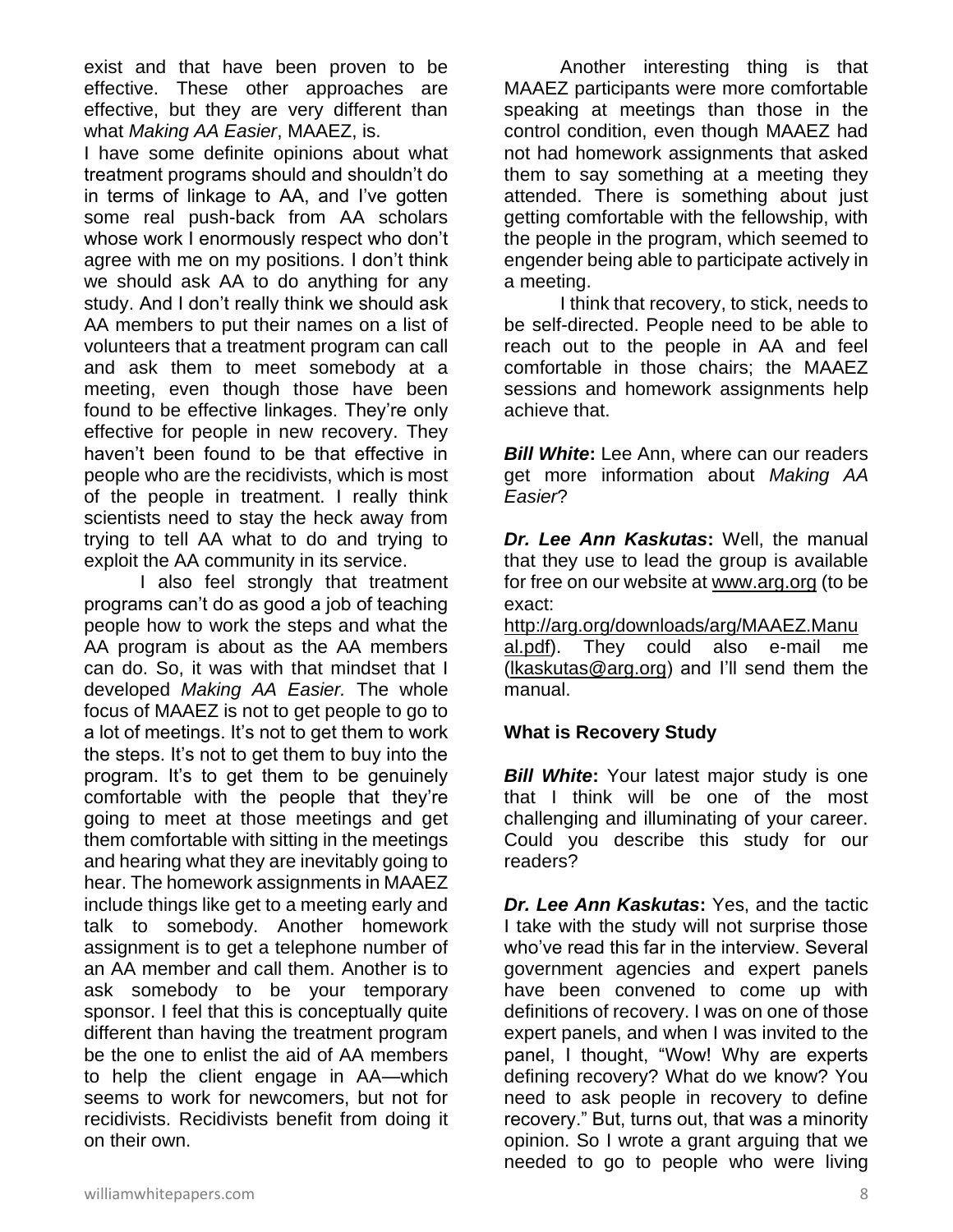exist and that have been proven to be effective. These other approaches are effective, but they are very different than what *Making AA Easier*, MAAEZ, is.

I have some definite opinions about what treatment programs should and shouldn't do in terms of linkage to AA, and I've gotten some real push-back from AA scholars whose work I enormously respect who don't agree with me on my positions. I don't think we should ask AA to do anything for any study. And I don't really think we should ask AA members to put their names on a list of volunteers that a treatment program can call and ask them to meet somebody at a meeting, even though those have been found to be effective linkages. They're only effective for people in new recovery. They haven't been found to be that effective in people who are the recidivists, which is most of the people in treatment. I really think scientists need to stay the heck away from trying to tell AA what to do and trying to exploit the AA community in its service.

I also feel strongly that treatment programs can't do as good a job of teaching people how to work the steps and what the AA program is about as the AA members can do. So, it was with that mindset that I developed *Making AA Easier.* The whole focus of MAAEZ is not to get people to go to a lot of meetings. It's not to get them to work the steps. It's not to get them to buy into the program. It's to get them to be genuinely comfortable with the people that they're going to meet at those meetings and get them comfortable with sitting in the meetings and hearing what they are inevitably going to hear. The homework assignments in MAAEZ include things like get to a meeting early and talk to somebody. Another homework assignment is to get a telephone number of an AA member and call them. Another is to ask somebody to be your temporary sponsor. I feel that this is conceptually quite different than having the treatment program be the one to enlist the aid of AA members to help the client engage in AA—which seems to work for newcomers, but not for recidivists. Recidivists benefit from doing it on their own.

Another interesting thing is that MAAEZ participants were more comfortable speaking at meetings than those in the control condition, even though MAAEZ had not had homework assignments that asked them to say something at a meeting they attended. There is something about just getting comfortable with the fellowship, with the people in the program, which seemed to engender being able to participate actively in a meeting.

I think that recovery, to stick, needs to be self-directed. People need to be able to reach out to the people in AA and feel comfortable in those chairs; the MAAEZ sessions and homework assignments help achieve that.

**Bill White:** Lee Ann, where can our readers get more information about *Making AA Easier*?

*Dr. Lee Ann Kaskutas***:** Well, the manual that they use to lead the group is available for free on our website at [www.arg.org](http://www.arg.org/) (to be exact:

[http://arg.org/downloads/arg/MAAEZ.Manu](http://arg.org/downloads/arg/MAAEZ.Manual.pdf) [al.pdf\)](http://arg.org/downloads/arg/MAAEZ.Manual.pdf). They could also e-mail me [\(lkaskutas@arg.org\)](mailto:lkaskutas@arg.org) and I'll send them the manual.

## **What is Recovery Study**

**Bill White:** Your latest major study is one that I think will be one of the most challenging and illuminating of your career. Could you describe this study for our readers?

*Dr. Lee Ann Kaskutas***:** Yes, and the tactic I take with the study will not surprise those who've read this far in the interview. Several government agencies and expert panels have been convened to come up with definitions of recovery. I was on one of those expert panels, and when I was invited to the panel, I thought, "Wow! Why are experts defining recovery? What do we know? You need to ask people in recovery to define recovery." But, turns out, that was a minority opinion. So I wrote a grant arguing that we needed to go to people who were living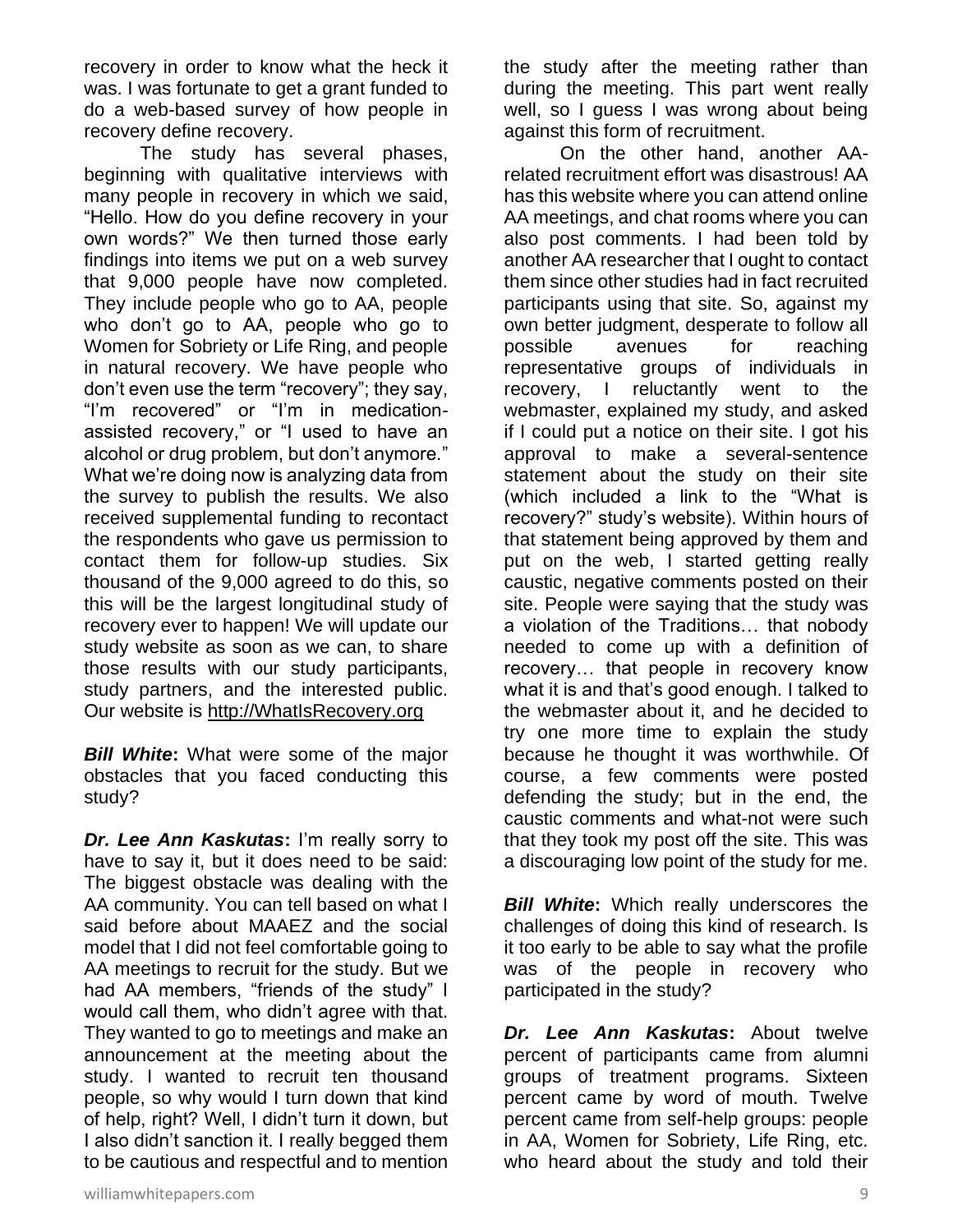recovery in order to know what the heck it was. I was fortunate to get a grant funded to do a web-based survey of how people in recovery define recovery.

The study has several phases, beginning with qualitative interviews with many people in recovery in which we said, "Hello. How do you define recovery in your own words?" We then turned those early findings into items we put on a web survey that 9,000 people have now completed. They include people who go to AA, people who don't go to AA, people who go to Women for Sobriety or Life Ring, and people in natural recovery. We have people who don't even use the term "recovery"; they say, "I'm recovered" or "I'm in medicationassisted recovery," or "I used to have an alcohol or drug problem, but don't anymore." What we're doing now is analyzing data from the survey to publish the results. We also received supplemental funding to recontact the respondents who gave us permission to contact them for follow-up studies. Six thousand of the 9,000 agreed to do this, so this will be the largest longitudinal study of recovery ever to happen! We will update our study website as soon as we can, to share those results with our study participants, study partners, and the interested public. Our website is [http://WhatIsRecovery.org](http://whatisrecovery.org/)

**Bill White:** What were some of the major obstacles that you faced conducting this study?

*Dr. Lee Ann Kaskutas***:** I'm really sorry to have to say it, but it does need to be said: The biggest obstacle was dealing with the AA community. You can tell based on what I said before about MAAEZ and the social model that I did not feel comfortable going to AA meetings to recruit for the study. But we had AA members, "friends of the study" I would call them, who didn't agree with that. They wanted to go to meetings and make an announcement at the meeting about the study. I wanted to recruit ten thousand people, so why would I turn down that kind of help, right? Well, I didn't turn it down, but I also didn't sanction it. I really begged them to be cautious and respectful and to mention

the study after the meeting rather than during the meeting. This part went really well, so I guess I was wrong about being against this form of recruitment.

On the other hand, another AArelated recruitment effort was disastrous! AA has this website where you can attend online AA meetings, and chat rooms where you can also post comments. I had been told by another AA researcher that I ought to contact them since other studies had in fact recruited participants using that site. So, against my own better judgment, desperate to follow all possible avenues for reaching representative groups of individuals in recovery, I reluctantly went to the webmaster, explained my study, and asked if I could put a notice on their site. I got his approval to make a several-sentence statement about the study on their site (which included a link to the "What is recovery?" study's website). Within hours of that statement being approved by them and put on the web, I started getting really caustic, negative comments posted on their site. People were saying that the study was a violation of the Traditions… that nobody needed to come up with a definition of recovery… that people in recovery know what it is and that's good enough. I talked to the webmaster about it, and he decided to try one more time to explain the study because he thought it was worthwhile. Of course, a few comments were posted defending the study; but in the end, the caustic comments and what-not were such that they took my post off the site. This was a discouraging low point of the study for me.

**Bill White:** Which really underscores the challenges of doing this kind of research. Is it too early to be able to say what the profile was of the people in recovery who participated in the study?

*Dr. Lee Ann Kaskutas***:** About twelve percent of participants came from alumni groups of treatment programs. Sixteen percent came by word of mouth. Twelve percent came from self-help groups: people in AA, Women for Sobriety, Life Ring, etc. who heard about the study and told their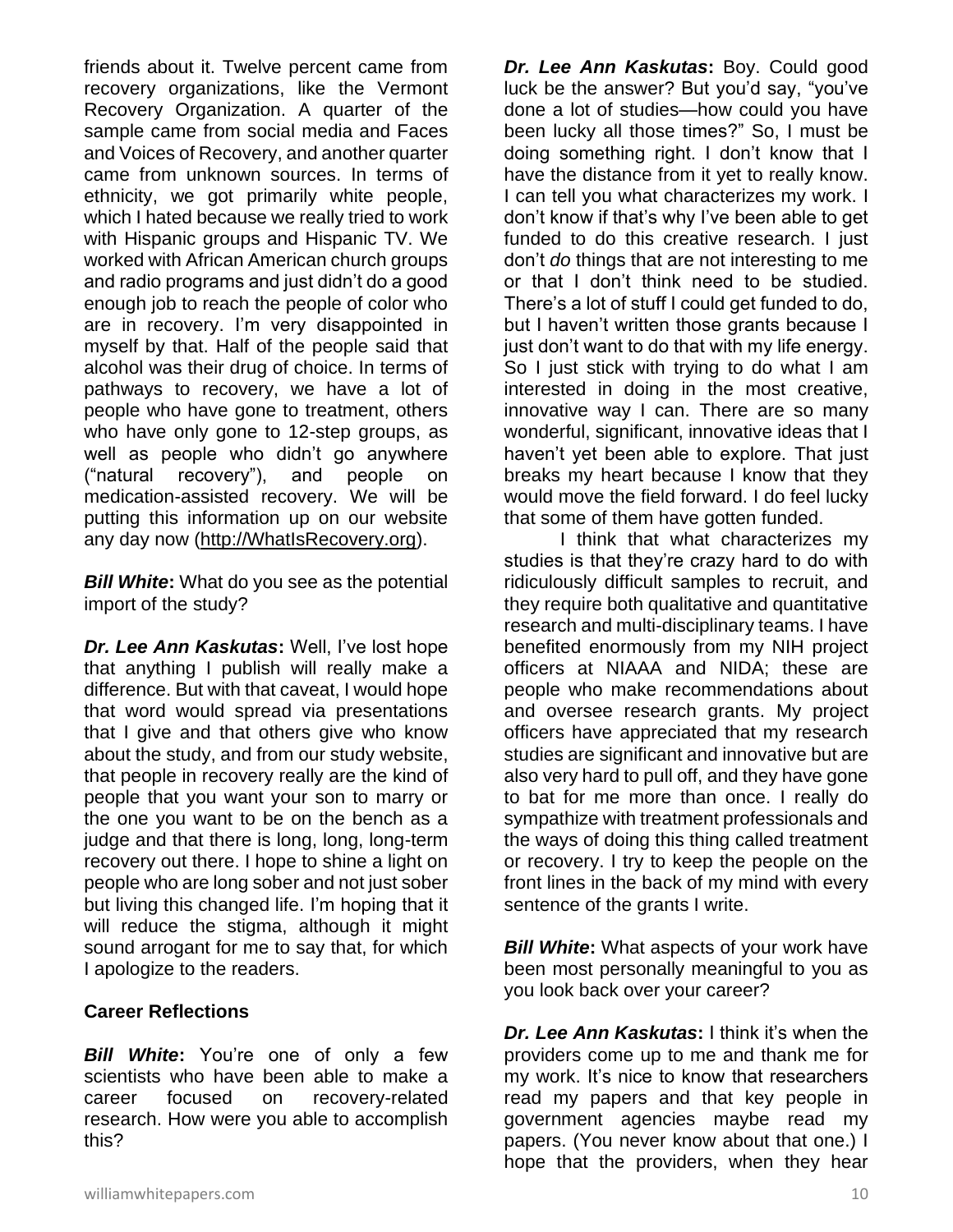friends about it. Twelve percent came from recovery organizations, like the Vermont Recovery Organization. A quarter of the sample came from social media and Faces and Voices of Recovery, and another quarter came from unknown sources. In terms of ethnicity, we got primarily white people, which I hated because we really tried to work with Hispanic groups and Hispanic TV. We worked with African American church groups and radio programs and just didn't do a good enough job to reach the people of color who are in recovery. I'm very disappointed in myself by that. Half of the people said that alcohol was their drug of choice. In terms of pathways to recovery, we have a lot of people who have gone to treatment, others who have only gone to 12-step groups, as well as people who didn't go anywhere ("natural recovery"), and people on medication-assisted recovery. We will be putting this information up on our website any day now [\(http://WhatIsRecovery.org\)](http://whatisrecovery.org/).

*Bill White***:** What do you see as the potential import of the study?

*Dr. Lee Ann Kaskutas***:** Well, I've lost hope that anything I publish will really make a difference. But with that caveat, I would hope that word would spread via presentations that I give and that others give who know about the study, and from our study website, that people in recovery really are the kind of people that you want your son to marry or the one you want to be on the bench as a judge and that there is long, long, long-term recovery out there. I hope to shine a light on people who are long sober and not just sober but living this changed life. I'm hoping that it will reduce the stigma, although it might sound arrogant for me to say that, for which I apologize to the readers.

#### **Career Reflections**

*Bill White***:** You're one of only a few scientists who have been able to make a career focused on recovery-related research. How were you able to accomplish this?

*Dr. Lee Ann Kaskutas***:** Boy. Could good luck be the answer? But you'd say, "you've done a lot of studies—how could you have been lucky all those times?" So, I must be doing something right. I don't know that I have the distance from it yet to really know. I can tell you what characterizes my work. I don't know if that's why I've been able to get funded to do this creative research. I just don't *do* things that are not interesting to me or that I don't think need to be studied. There's a lot of stuff I could get funded to do, but I haven't written those grants because I just don't want to do that with my life energy. So I just stick with trying to do what I am interested in doing in the most creative, innovative way I can. There are so many wonderful, significant, innovative ideas that I haven't yet been able to explore. That just breaks my heart because I know that they would move the field forward. I do feel lucky that some of them have gotten funded.

I think that what characterizes my studies is that they're crazy hard to do with ridiculously difficult samples to recruit, and they require both qualitative and quantitative research and multi-disciplinary teams. I have benefited enormously from my NIH project officers at NIAAA and NIDA; these are people who make recommendations about and oversee research grants. My project officers have appreciated that my research studies are significant and innovative but are also very hard to pull off, and they have gone to bat for me more than once. I really do sympathize with treatment professionals and the ways of doing this thing called treatment or recovery. I try to keep the people on the front lines in the back of my mind with every sentence of the grants I write.

*Bill White***:** What aspects of your work have been most personally meaningful to you as you look back over your career?

*Dr. Lee Ann Kaskutas***:** I think it's when the providers come up to me and thank me for my work. It's nice to know that researchers read my papers and that key people in government agencies maybe read my papers. (You never know about that one.) I hope that the providers, when they hear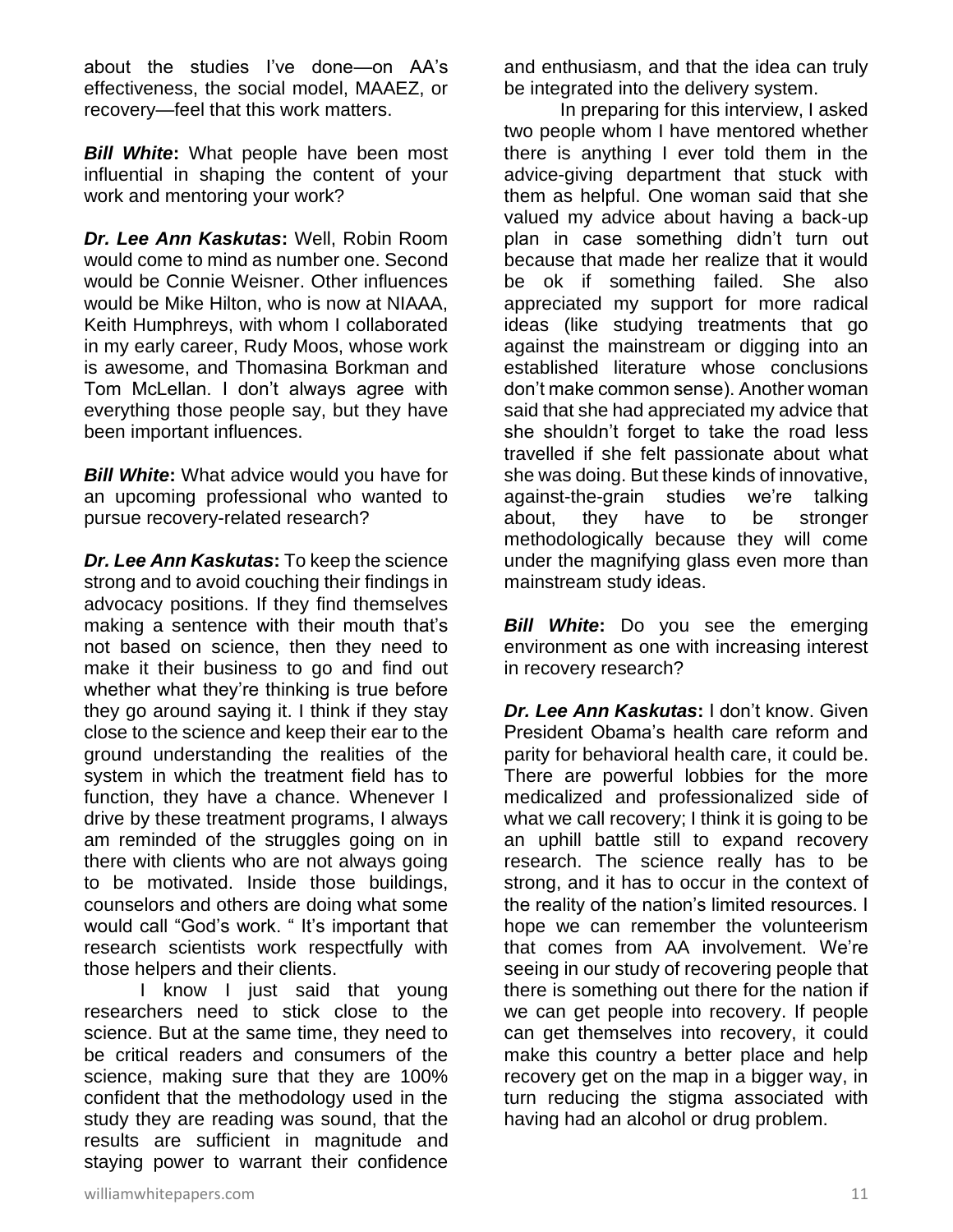about the studies I've done—on AA's effectiveness, the social model, MAAEZ, or recovery—feel that this work matters.

*Bill White***:** What people have been most influential in shaping the content of your work and mentoring your work?

*Dr. Lee Ann Kaskutas***:** Well, Robin Room would come to mind as number one. Second would be Connie Weisner. Other influences would be Mike Hilton, who is now at NIAAA, Keith Humphreys, with whom I collaborated in my early career, Rudy Moos, whose work is awesome, and Thomasina Borkman and Tom McLellan. I don't always agree with everything those people say, but they have been important influences.

*Bill White***:** What advice would you have for an upcoming professional who wanted to pursue recovery-related research?

*Dr. Lee Ann Kaskutas***:** To keep the science strong and to avoid couching their findings in advocacy positions. If they find themselves making a sentence with their mouth that's not based on science, then they need to make it their business to go and find out whether what they're thinking is true before they go around saying it. I think if they stay close to the science and keep their ear to the ground understanding the realities of the system in which the treatment field has to function, they have a chance. Whenever I drive by these treatment programs, I always am reminded of the struggles going on in there with clients who are not always going to be motivated. Inside those buildings, counselors and others are doing what some would call "God's work. " It's important that research scientists work respectfully with those helpers and their clients.

I know I just said that young researchers need to stick close to the science. But at the same time, they need to be critical readers and consumers of the science, making sure that they are 100% confident that the methodology used in the study they are reading was sound, that the results are sufficient in magnitude and staying power to warrant their confidence

and enthusiasm, and that the idea can truly be integrated into the delivery system.

In preparing for this interview, I asked two people whom I have mentored whether there is anything I ever told them in the advice-giving department that stuck with them as helpful. One woman said that she valued my advice about having a back-up plan in case something didn't turn out because that made her realize that it would be ok if something failed. She also appreciated my support for more radical ideas (like studying treatments that go against the mainstream or digging into an established literature whose conclusions don't make common sense). Another woman said that she had appreciated my advice that she shouldn't forget to take the road less travelled if she felt passionate about what she was doing. But these kinds of innovative, against-the-grain studies we're talking about, they have to be stronger methodologically because they will come under the magnifying glass even more than mainstream study ideas.

*Bill White*: Do you see the emerging environment as one with increasing interest in recovery research?

*Dr. Lee Ann Kaskutas***:** I don't know. Given President Obama's health care reform and parity for behavioral health care, it could be. There are powerful lobbies for the more medicalized and professionalized side of what we call recovery; I think it is going to be an uphill battle still to expand recovery research. The science really has to be strong, and it has to occur in the context of the reality of the nation's limited resources. I hope we can remember the volunteerism that comes from AA involvement. We're seeing in our study of recovering people that there is something out there for the nation if we can get people into recovery. If people can get themselves into recovery, it could make this country a better place and help recovery get on the map in a bigger way, in turn reducing the stigma associated with having had an alcohol or drug problem.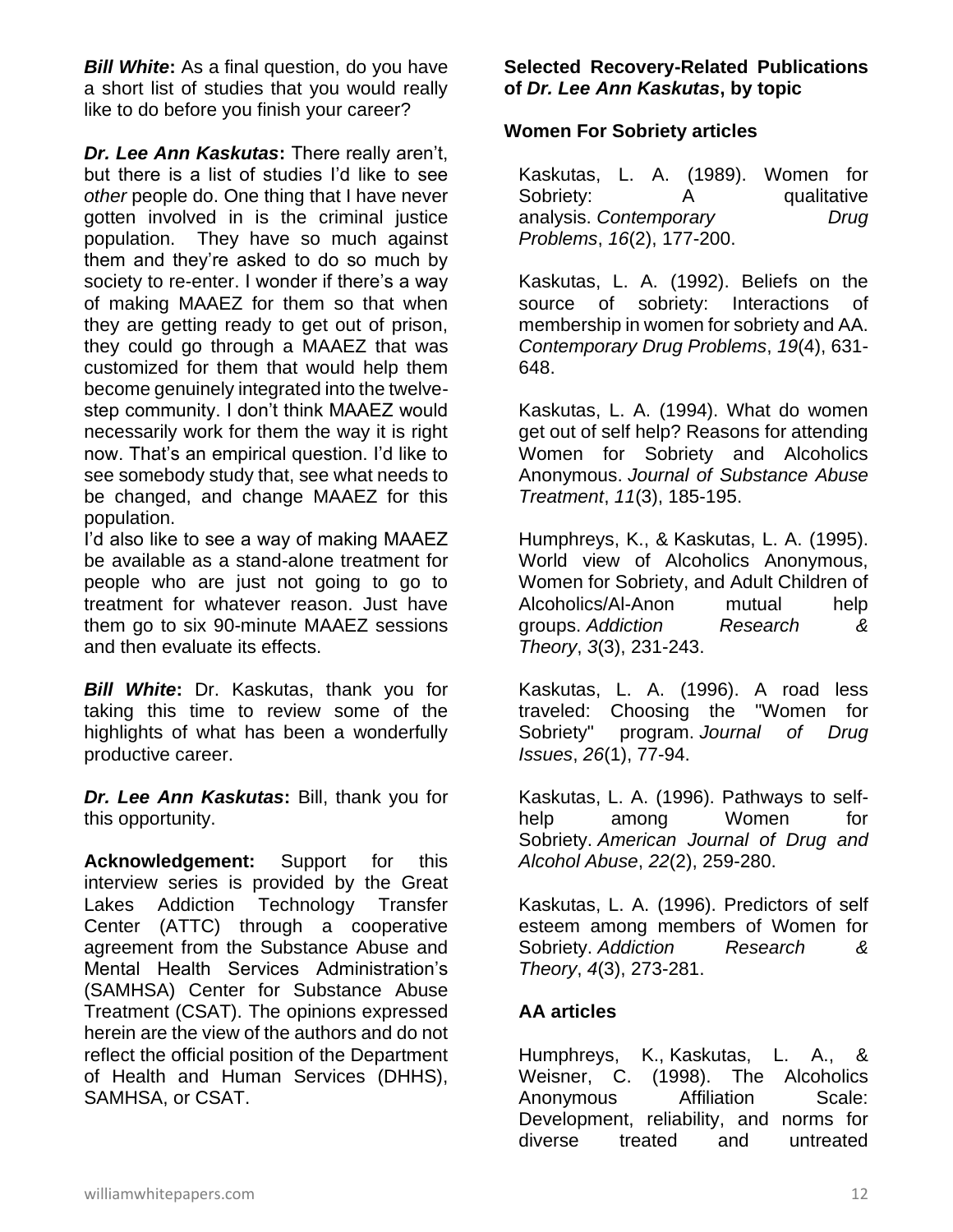*Bill White***:** As a final question, do you have a short list of studies that you would really like to do before you finish your career?

*Dr. Lee Ann Kaskutas***:** There really aren't, but there is a list of studies I'd like to see *other* people do. One thing that I have never gotten involved in is the criminal justice population. They have so much against them and they're asked to do so much by society to re-enter. I wonder if there's a way of making MAAEZ for them so that when they are getting ready to get out of prison, they could go through a MAAEZ that was customized for them that would help them become genuinely integrated into the twelvestep community. I don't think MAAEZ would necessarily work for them the way it is right now. That's an empirical question. I'd like to see somebody study that, see what needs to be changed, and change MAAEZ for this population.

I'd also like to see a way of making MAAEZ be available as a stand-alone treatment for people who are just not going to go to treatment for whatever reason. Just have them go to six 90-minute MAAEZ sessions and then evaluate its effects.

*Bill White***:** Dr. Kaskutas, thank you for taking this time to review some of the highlights of what has been a wonderfully productive career.

*Dr. Lee Ann Kaskutas***:** Bill, thank you for this opportunity.

**Acknowledgement:** Support for this interview series is provided by the Great Lakes Addiction Technology Transfer Center (ATTC) through a cooperative agreement from the Substance Abuse and Mental Health Services Administration's (SAMHSA) Center for Substance Abuse Treatment (CSAT). The opinions expressed herein are the view of the authors and do not reflect the official position of the Department of Health and Human Services (DHHS), SAMHSA, or CSAT.

## **Selected Recovery-Related Publications of** *Dr. Lee Ann Kaskutas***, by topic**

## **Women For Sobriety articles**

| Kaskutas, L. A. (1989). Women for |  |  |   |             |      |
|-----------------------------------|--|--|---|-------------|------|
| Sobriety:                         |  |  | A | qualitative |      |
| analysis. Contemporary            |  |  |   |             | Drug |
| Problems, 16(2), 177-200.         |  |  |   |             |      |

Kaskutas, L. A. (1992). Beliefs on the source of sobriety: Interactions of membership in women for sobriety and AA. *Contemporary Drug Problems*, *19*(4), 631- 648.

Kaskutas, L. A. (1994). What do women get out of self help? Reasons for attending Women for Sobriety and Alcoholics Anonymous. *Journal of Substance Abuse Treatment*, *11*(3), 185-195.

Humphreys, K., & Kaskutas, L. A. (1995). World view of Alcoholics Anonymous, Women for Sobriety, and Adult Children of Alcoholics/Al-Anon mutual help groups. *Addiction Research & Theory*, *3*(3), 231-243.

Kaskutas, L. A. (1996). A road less traveled: Choosing the "Women for Sobriety" program. *Journal of Drug Issues*, *26*(1), 77-94.

Kaskutas, L. A. (1996). Pathways to selfhelp among Women for Sobriety. *American Journal of Drug and Alcohol Abuse*, *22*(2), 259-280.

Kaskutas, L. A. (1996). Predictors of self esteem among members of Women for Sobriety. *Addiction Research & Theory*, *4*(3), 273-281.

# **AA articles**

Humphreys, K., Kaskutas, L. A., & Weisner, C. (1998). The Alcoholics Anonymous Affiliation Scale: Development, reliability, and norms for diverse treated and untreated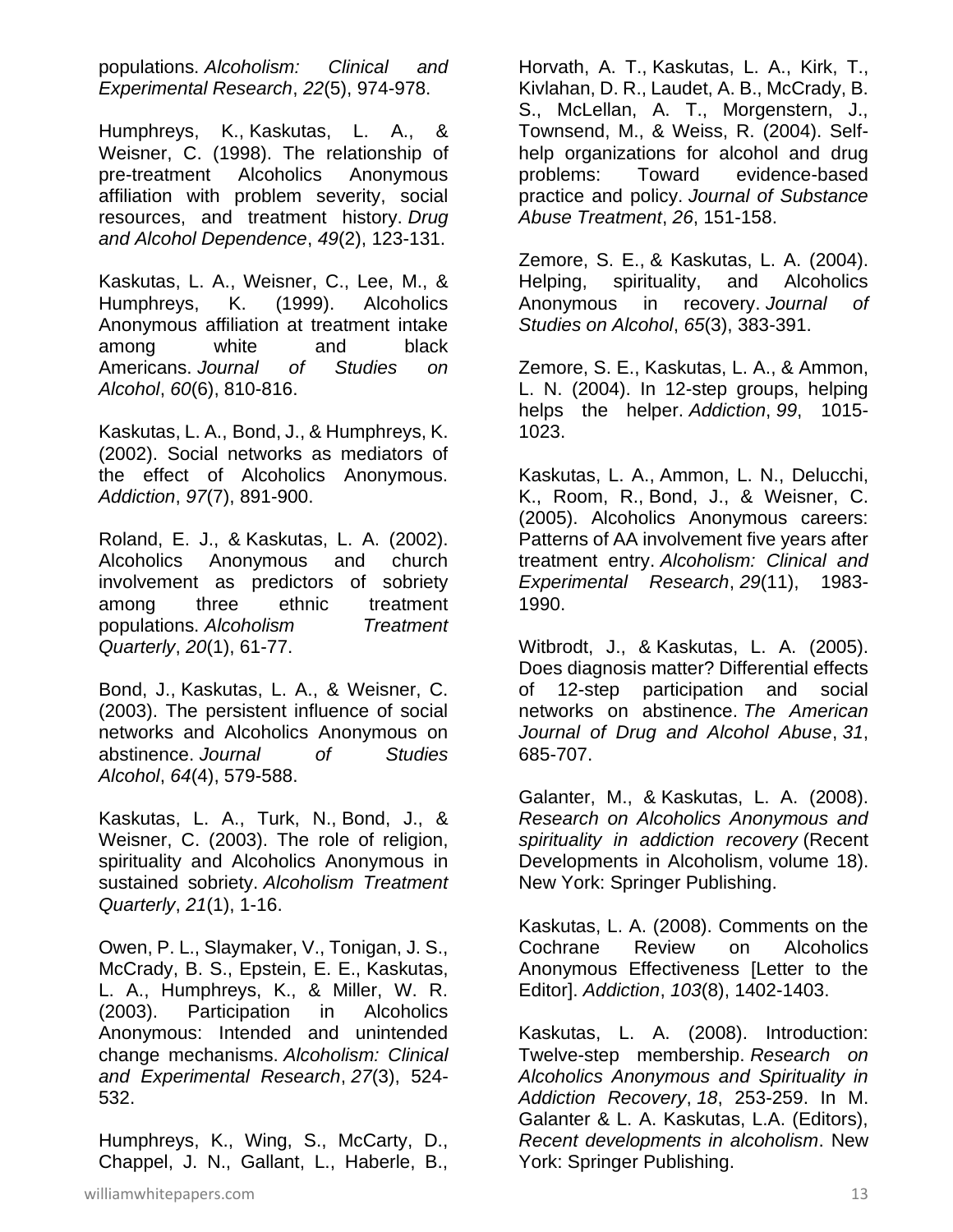populations. *Alcoholism: Clinical and Experimental Research*, *22*(5), 974-978.

Humphreys, K., Kaskutas, L. A., & Weisner, C. (1998). The relationship of pre-treatment Alcoholics Anonymous affiliation with problem severity, social resources, and treatment history. *Drug and Alcohol Dependence*, *49*(2), 123-131.

Kaskutas, L. A., Weisner, C., Lee, M., & Humphreys, K. (1999). Alcoholics Anonymous affiliation at treatment intake among white and black Americans. *Journal of Studies on Alcohol*, *60*(6), 810-816.

Kaskutas, L. A., Bond, J., & Humphreys, K. (2002). Social networks as mediators of the effect of Alcoholics Anonymous. *Addiction*, *97*(7), 891-900.

Roland, E. J., & Kaskutas, L. A. (2002). Alcoholics Anonymous and church involvement as predictors of sobriety among three ethnic treatment populations. *Alcoholism Treatment Quarterly*, *20*(1), 61-77.

Bond, J., Kaskutas, L. A., & Weisner, C. (2003). The persistent influence of social networks and Alcoholics Anonymous on abstinence. *Journal of Studies Alcohol*, *64*(4), 579-588.

Kaskutas, L. A., Turk, N., Bond, J., & Weisner, C. (2003). The role of religion, spirituality and Alcoholics Anonymous in sustained sobriety. *Alcoholism Treatment Quarterly*, *21*(1), 1-16.

Owen, P. L., Slaymaker, V., Tonigan, J. S., McCrady, B. S., Epstein, E. E., Kaskutas, L. A., Humphreys, K., & Miller, W. R. (2003). Participation in Alcoholics Anonymous: Intended and unintended change mechanisms. *Alcoholism: Clinical and Experimental Research*, *27*(3), 524- 532.

Humphreys, K., Wing, S., McCarty, D., Chappel, J. N., Gallant, L., Haberle, B.,

Horvath, A. T., Kaskutas, L. A., Kirk, T., Kivlahan, D. R., Laudet, A. B., McCrady, B. S., McLellan, A. T., Morgenstern, J., Townsend, M., & Weiss, R. (2004). Selfhelp organizations for alcohol and drug problems: Toward evidence-based practice and policy. *Journal of Substance Abuse Treatment*, *26*, 151-158.

Zemore, S. E., & Kaskutas, L. A. (2004). Helping, spirituality, and Alcoholics Anonymous in recovery. *Journal of Studies on Alcohol*, *65*(3), 383-391.

Zemore, S. E., Kaskutas, L. A., & Ammon, L. N. (2004). In 12-step groups, helping helps the helper. *Addiction*, *99*, 1015- 1023.

Kaskutas, L. A., Ammon, L. N., Delucchi, K., Room, R., Bond, J., & Weisner, C. (2005). Alcoholics Anonymous careers: Patterns of AA involvement five years after treatment entry. *Alcoholism: Clinical and Experimental Research*, *29*(11), 1983- 1990.

Witbrodt, J., & Kaskutas, L. A. (2005). Does diagnosis matter? Differential effects of 12-step participation and social networks on abstinence. *The American Journal of Drug and Alcohol Abuse*, *31*, 685-707.

Galanter, M., & Kaskutas, L. A. (2008). *Research on Alcoholics Anonymous and spirituality in addiction recovery* (Recent Developments in Alcoholism, volume 18). New York: Springer Publishing.

Kaskutas, L. A. (2008). Comments on the Cochrane Review on Alcoholics Anonymous Effectiveness [Letter to the Editor]. *Addiction*, *103*(8), 1402-1403.

Kaskutas, L. A. (2008). Introduction: Twelve-step membership. *Research on Alcoholics Anonymous and Spirituality in Addiction Recovery*, *18*, 253-259. In M. Galanter & L. A. Kaskutas, L.A. (Editors), *Recent developments in alcoholism*. New York: Springer Publishing.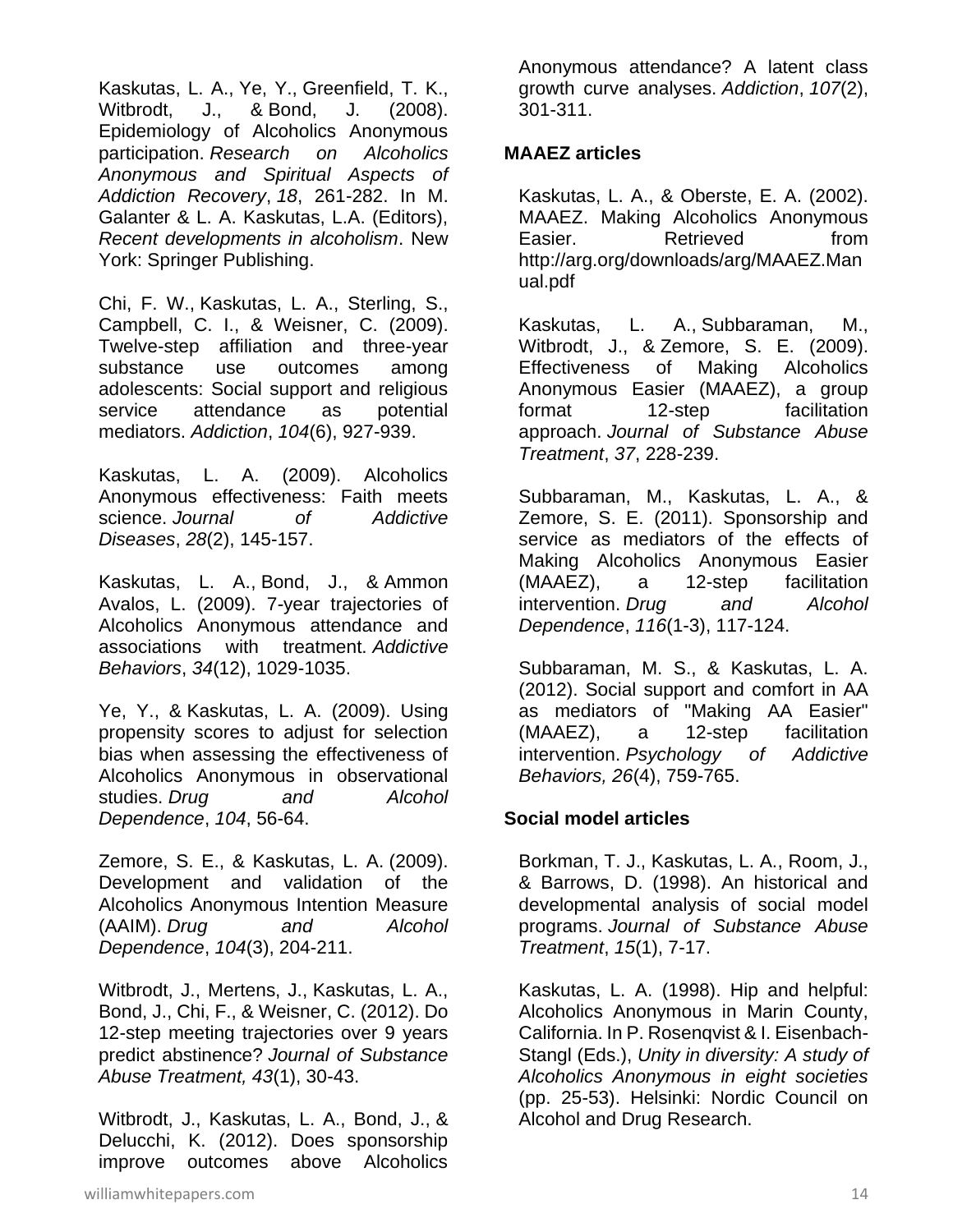Kaskutas, L. A., Ye, Y., Greenfield, T. K., Witbrodt, J., & Bond, J. (2008). Epidemiology of Alcoholics Anonymous participation. *Research on Alcoholics Anonymous and Spiritual Aspects of Addiction Recovery*, *18*, 261-282. In M. Galanter & L. A. Kaskutas, L.A. (Editors), *Recent developments in alcoholism*. New York: Springer Publishing.

Chi, F. W., Kaskutas, L. A., Sterling, S., Campbell, C. I., & Weisner, C. (2009). Twelve-step affiliation and three-year substance use outcomes among adolescents: Social support and religious service attendance as potential mediators. *Addiction*, *104*(6), 927-939.

Kaskutas, L. A. (2009). Alcoholics Anonymous effectiveness: Faith meets science. *Journal of Addictive Diseases*, *28*(2), 145-157.

Kaskutas, L. A., Bond, J., & Ammon Avalos, L. (2009). 7-year trajectories of Alcoholics Anonymous attendance and associations with treatment. *Addictive Behaviors*, *34*(12), 1029-1035.

Ye, Y., & Kaskutas, L. A. (2009). Using propensity scores to adjust for selection bias when assessing the effectiveness of Alcoholics Anonymous in observational studies. *Drug and Alcohol Dependence*, *104*, 56-64.

Zemore, S. E., & Kaskutas, L. A. (2009). Development and validation of the Alcoholics Anonymous Intention Measure (AAIM). *Drug and Alcohol Dependence*, *104*(3), 204-211.

Witbrodt, J., Mertens, J., Kaskutas, L. A., Bond, J., Chi, F., & Weisner, C. (2012). Do 12-step meeting trajectories over 9 years predict abstinence? *Journal of Substance Abuse Treatment, 43*(1), 30-43.

Witbrodt, J., Kaskutas, L. A., Bond, J., & Delucchi, K. (2012). Does sponsorship improve outcomes above Alcoholics

Anonymous attendance? A latent class growth curve analyses. *Addiction*, *107*(2), 301-311.

#### **MAAEZ articles**

Kaskutas, L. A., & Oberste, E. A. (2002). MAAEZ. Making Alcoholics Anonymous Easier. Retrieved from http://arg.org/downloads/arg/MAAEZ.Man ual.pdf

Kaskutas, L. A., Subbaraman, M., Witbrodt, J., & Zemore, S. E. (2009). Effectiveness of Making Alcoholics Anonymous Easier (MAAEZ), a group format 12-step facilitation approach. *Journal of Substance Abuse Treatment*, *37*, 228-239.

Subbaraman, M., Kaskutas, L. A., & Zemore, S. E. (2011). Sponsorship and service as mediators of the effects of Making Alcoholics Anonymous Easier (MAAEZ), a 12-step facilitation intervention. *Drug and Alcohol Dependence*, *116*(1-3), 117-124.

Subbaraman, M. S., & Kaskutas, L. A. (2012). Social support and comfort in AA as mediators of "Making AA Easier" (MAAEZ), a 12-step facilitation intervention. *Psychology of Addictive Behaviors, 26*(4), 759-765.

## **Social model articles**

Borkman, T. J., Kaskutas, L. A., Room, J., & Barrows, D. (1998). An historical and developmental analysis of social model programs. *Journal of Substance Abuse Treatment*, *15*(1), 7-17.

Kaskutas, L. A. (1998). Hip and helpful: Alcoholics Anonymous in Marin County, California. In P. Rosenqvist & I. Eisenbach-Stangl (Eds.), *Unity in diversity: A study of Alcoholics Anonymous in eight societies* (pp. 25-53). Helsinki: Nordic Council on Alcohol and Drug Research.